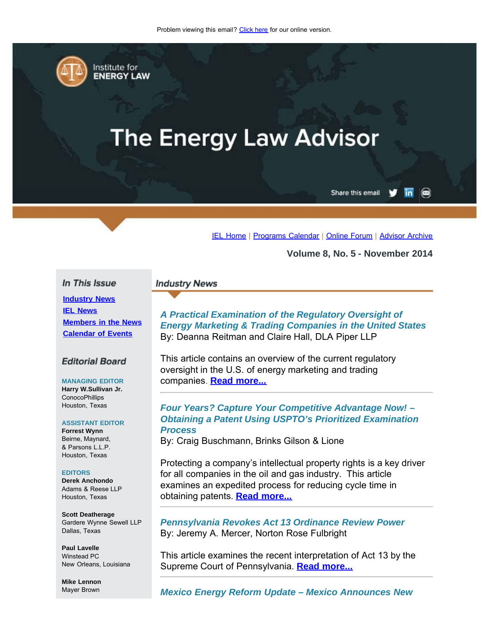<span id="page-0-0"></span>

Institute for **ENERGY LAW** 

# **The Energy Law Advisor**

Share this email in

[IEL Home](http://www.cailaw.org/institute-for-energy-law/index.html?utm_source=Informz&utm_medium=Email&utm_campaign=Event+Details) | [Programs Calendar](http://www.cailaw.org/institute-for-energy-law/programs-calendar.html?utm_source=Informz&utm_medium=Email&utm_campaign=Event+Details) | [Online Forum](http://www.linkedin.com/groups?homeNewMember=&gid=2370373&trk=&ut=0XojoQQoYP6ls1) | [Advisor Archive](http://www.cailaw.org/institute-for-energy-law/publications/energy-law-advisor.html?utm_source=Informz&utm_medium=Email&utm_campaign=Event+Details)

**Volume 8, No. 5 - November 2014**

#### In This Issue

**[Industry News](#page-0-0) [IEL News](#page-0-0) [Members in the News](#page-0-0) [Calendar of Events](#page-0-0)**

#### **Editorial Board**

**MANAGING EDITOR Harry W.Sullivan Jr. ConocoPhillips** Houston, Texas

#### **ASSISTANT EDITOR**

**Forrest Wynn** Beirne, Maynard, & Parsons L.L.P. Houston, Texas

#### **EDITORS**

**Derek Anchondo** Adams & Reese LLP Houston, Texas

**Scott Deatherage** Gardere Wynne Sewell LLP Dallas, Texas

**Paul Lavelle** Winstead PC New Orleans, Louisiana

**Mike Lennon** Mayer Brown

#### **Industry News**

*A Practical Examination of the Regulatory Oversight of Energy Marketing & Trading Companies in the United States* By: Deanna Reitman and Claire Hall, DLA Piper LLP

This article contains an overview of the current regulatory oversight in the U.S. of energy marketing and trading companies. **[Read more...](http://www.cailaw.org/media/files/IEL/Publications/2014/ela-practical-examination-vol8-no5.pdf)**

## *Four Years? Capture Your Competitive Advantage Now! – Obtaining a Patent Using USPTO's Prioritized Examination Process*

By: Craig Buschmann, Brinks Gilson & Lione

Protecting a company's intellectual property rights is a key driver for all companies in the oil and gas industry. This article examines an expedited process for reducing cycle time in obtaining patents. **[Read more...](http://cailaw.informz.net/admin31/content/template.asp?sid=36892&ptid=799&brandid=3434&uid=781094093&mi=3801680&ps=36892)**

*Pennsylvania Revokes Act 13 Ordinance Review Power* By: Jeremy A. Mercer, Norton Rose Fulbright

This article examines the recent interpretation of Act 13 by the Supreme Court of Pennsylvania. **[Read more...](http://www.cailaw.org/media/files/IEL/Publications/2014/ela-pa-act13-vol8-no5.pdf)**

*Mexico Energy Reform Update – Mexico Announces New*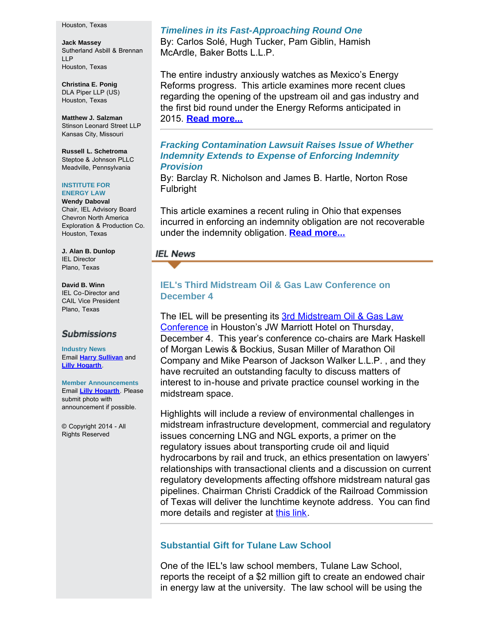#### Houston, Texas

**Jack Massey** Sutherland Asbill & Brennan LLP Houston, Texas

**Christina E. Ponig** DLA Piper LLP (US) Houston, Texas

**Matthew J. Salzman** Stinson Leonard Street LLP Kansas City, Missouri

**Russell L. Schetroma** Steptoe & Johnson PLLC Meadville, Pennsylvania

#### **INSTITUTE FOR ENERGY LAW**

**Wendy Daboval** Chair, IEL Advisory Board Chevron North America Exploration & Production Co. Houston, Texas

**J. Alan B. Dunlop** IEL Director Plano, Texas

**David B. Winn** IEL Co-Director and CAIL Vice President Plano, Texas

#### **Submissions**

**Industry News** Email **[Harry Sullivan](mailto:harry.w.sullivan@conocophillips.com)** and **[Lilly Hogarth](mailto:lhogarth@cailaw.org)**.

**Member Announcements** Email **[Lilly Hogarth](mailto:lhogarth@cailaw.org)**. Please submit photo with announcement if possible.

© Copyright 2014 - All Rights Reserved

## *Timelines in its Fast-Approaching Round One*

By: Carlos Solé, Hugh Tucker, Pam Giblin, Hamish McArdle, Baker Botts L.L.P.

The entire industry anxiously watches as Mexico's Energy Reforms progress. This article examines more recent clues regarding the opening of the upstream oil and gas industry and the first bid round under the Energy Reforms anticipated in 2015. **[Read more...](http://www.cailaw.org/media/files/IEL/Publications/2014/ela-mexico-reform-update-vol8-no5.pdf)**

## *Fracking Contamination Lawsuit Raises Issue of Whether Indemnity Extends to Expense of Enforcing Indemnity Provision*

By: Barclay R. Nicholson and James B. Hartle, Norton Rose Fulbright

This article examines a recent ruling in Ohio that expenses incurred in enforcing an indemnity obligation are not recoverable under the indemnity obligation. **[Read more...](http://www.cailaw.org/media/files/IEL/Publications/2014/ela-fracking-vol8-no5.pdf)**

### **IEL News**

## **IEL's Third Midstream Oil & Gas Law Conference on December 4**

The IEL will be presenting its 3rd [Midstream Oil & Gas Law](http://www.cailaw.org/institute-for-energy-law/events/2014/midstream-oil-gas-law.html?utm_source=Informz&utm_medium=Email&utm_campaign=Event+Details) [Conference](http://www.cailaw.org/institute-for-energy-law/events/2014/midstream-oil-gas-law.html?utm_source=Informz&utm_medium=Email&utm_campaign=Event+Details) in Houston's JW Marriott Hotel on Thursday, December 4. This year's conference co-chairs are Mark Haskell of Morgan Lewis & Bockius, Susan Miller of Marathon Oil Company and Mike Pearson of Jackson Walker L.L.P. , and they have recruited an outstanding faculty to discuss matters of interest to in-house and private practice counsel working in the midstream space.

Highlights will include a review of environmental challenges in midstream infrastructure development, commercial and regulatory issues concerning LNG and NGL exports, a primer on the regulatory issues about transporting crude oil and liquid hydrocarbons by rail and truck, an ethics presentation on lawyers' relationships with transactional clients and a discussion on current regulatory developments affecting offshore midstream natural gas pipelines. Chairman Christi Craddick of the Railroad Commission of Texas will deliver the lunchtime keynote address. You can find more details and register at [this link.](http://www.cailaw.org/institute-for-energy-law/events/2014/energy-litigation-conference.html?utm_source=Informz&utm_medium=Email&utm_campaign=Event+Details)

# **Substantial Gift for Tulane Law School**

One of the IEL's law school members, Tulane Law School, reports the receipt of a \$2 million gift to create an endowed chair in energy law at the university. The law school will be using the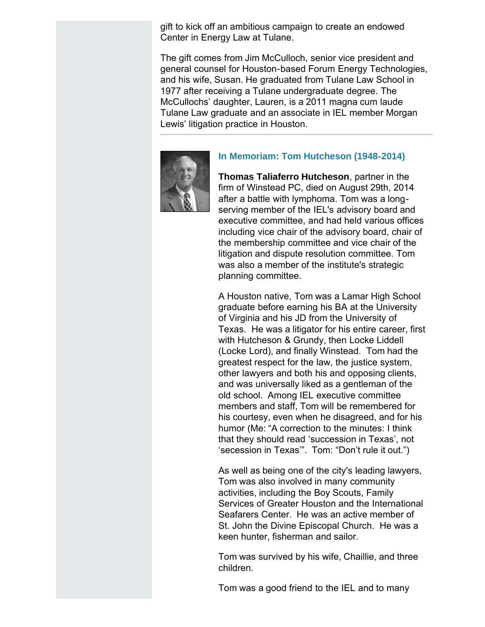gift to kick off an ambitious campaign to create an endowed Center in Energy Law at Tulane.

The gift comes from Jim McCulloch, senior vice president and general counsel for Houston-based Forum Energy Technologies, and his wife, Susan. He graduated from Tulane Law School in 1977 after receiving a Tulane undergraduate degree. The McCullochs' daughter, Lauren, is a 2011 magna cum laude Tulane Law graduate and an associate in IEL member Morgan Lewis' litigation practice in Houston.



# **In Memoriam: Tom Hutcheson (1948-2014)**

**Thomas Taliaferro Hutcheson**, partner in the firm of Winstead PC, died on August 29th, 2014 after a battle with lymphoma. Tom was a longserving member of the IEL's advisory board and executive committee, and had held various offices including vice chair of the advisory board, chair of the membership committee and vice chair of the litigation and dispute resolution committee. Tom was also a member of the institute's strategic planning committee.

A Houston native, Tom was a Lamar High School graduate before earning his BA at the University of Virginia and his JD from the University of Texas. He was a litigator for his entire career, first with Hutcheson & Grundy, then Locke Liddell (Locke Lord), and finally Winstead. Tom had the greatest respect for the law, the justice system, other lawyers and both his and opposing clients, and was universally liked as a gentleman of the old school. Among IEL executive committee members and staff, Tom will be remembered for his courtesy, even when he disagreed, and for his humor (Me: "A correction to the minutes: I think that they should read 'succession in Texas', not 'secession in Texas'". Tom: "Don't rule it out.")

As well as being one of the city's leading lawyers, Tom was also involved in many community activities, including the Boy Scouts, Family Services of Greater Houston and the International Seafarers Center. He was an active member of St. John the Divine Episcopal Church. He was a keen hunter, fisherman and sailor.

Tom was survived by his wife, Chaillie, and three children.

Tom was a good friend to the IEL and to many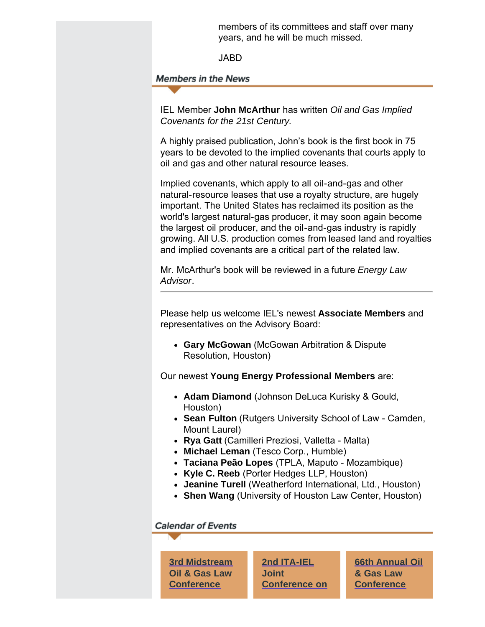members of its committees and staff over many years, and he will be much missed.

JABD

**Members in the News** 

IEL Member **John McArthur** has written *Oil and Gas Implied Covenants for the 21st Century.*

A highly praised publication, John's book is the first book in 75 years to be devoted to the implied covenants that courts apply to oil and gas and other natural resource leases.

Implied covenants, which apply to all oil-and-gas and other natural-resource leases that use a royalty structure, are hugely important. The United States has reclaimed its position as the world's largest natural-gas producer, it may soon again become the largest oil producer, and the oil-and-gas industry is rapidly growing. All U.S. production comes from leased land and royalties and implied covenants are a critical part of the related law.

Mr. McArthur's book will be reviewed in a future *Energy Law Advisor*.

Please help us welcome IEL's newest **Associate Members** and representatives on the Advisory Board:

**Gary McGowan** (McGowan Arbitration & Dispute Resolution, Houston)

Our newest **Young Energy Professional Members** are:

- **Adam Diamond** (Johnson DeLuca Kurisky & Gould, Houston)
- **Sean Fulton** (Rutgers University School of Law Camden, Mount Laurel)
- **Rya Gatt** (Camilleri Preziosi, Valletta Malta)
- **Michael Leman** (Tesco Corp., Humble)
- **Taciana Peão Lopes** (TPLA, Maputo Mozambique)
- **Kyle C. Reeb** (Porter Hedges LLP, Houston)
- **Jeanine Turell** (Weatherford International, Ltd., Houston)
- **Shen Wang** (University of Houston Law Center, Houston)

# **Calendar of Events**

**[3rd Midstream](http://www.cailaw.org/institute-for-energy-law/events/2014/midstream-oil-gas-law.html?utm_source=Informz&utm_medium=Email&utm_campaign=Event+Details) [Oil & Gas Law](http://www.cailaw.org/institute-for-energy-law/events/2014/midstream-oil-gas-law.html?utm_source=Informz&utm_medium=Email&utm_campaign=Event+Details) [Conference](http://www.cailaw.org/institute-for-energy-law/events/2014/midstream-oil-gas-law.html?utm_source=Informz&utm_medium=Email&utm_campaign=Event+Details)**

**[2nd ITA-IEL](http://www.cailaw.org/institute-for-energy-law/events/2015/ita-iel-forum.html?utm_source=Informz&utm_medium=Email&utm_campaign=Event+Details) [Joint](http://www.cailaw.org/institute-for-energy-law/events/2015/ita-iel-forum.html?utm_source=Informz&utm_medium=Email&utm_campaign=Event+Details) [Conference on](http://www.cailaw.org/institute-for-energy-law/events/2015/ita-iel-forum.html?utm_source=Informz&utm_medium=Email&utm_campaign=Event+Details)**

**[66th Annual Oil](http://www.cailaw.org/institute-for-energy-law/events/2015/oil-gas-law-conference.html?utm_source=Informz&utm_medium=Email&utm_campaign=Event+Details) [& Gas Law](http://www.cailaw.org/institute-for-energy-law/events/2015/oil-gas-law-conference.html?utm_source=Informz&utm_medium=Email&utm_campaign=Event+Details) [Conference](http://www.cailaw.org/institute-for-energy-law/events/2015/oil-gas-law-conference.html?utm_source=Informz&utm_medium=Email&utm_campaign=Event+Details)**